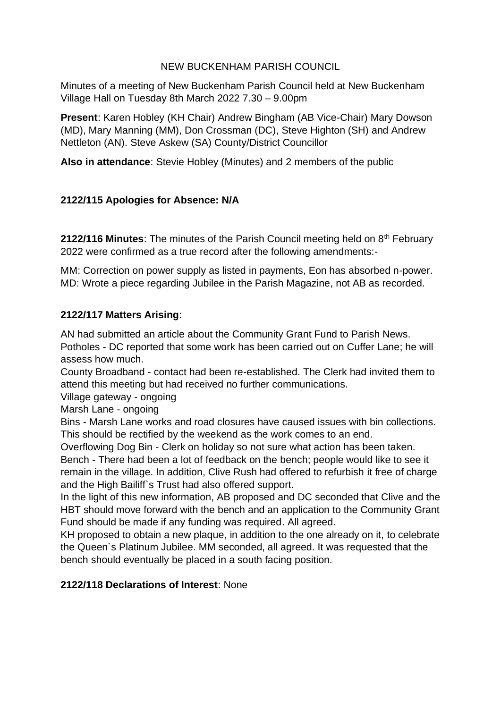# NEW BUCKENHAM PARISH COUNCIL

Minutes of a meeting of New Buckenham Parish Council held at New Buckenham Village Hall on Tuesday 8th March 2022 7.30 – 9.00pm

**Present**: Karen Hobley (KH Chair) Andrew Bingham (AB Vice-Chair) Mary Dowson (MD), Mary Manning (MM), Don Crossman (DC), Steve Highton (SH) and Andrew Nettleton (AN). Steve Askew (SA) County/District Councillor

**Also in attendance**: Stevie Hobley (Minutes) and 2 members of the public

# **2122/115 Apologies for Absence: N/A**

**2122/116 Minutes:** The minutes of the Parish Council meeting held on 8<sup>th</sup> February 2022 were confirmed as a true record after the following amendments:-

MM: Correction on power supply as listed in payments, Eon has absorbed n-power. MD: Wrote a piece regarding Jubilee in the Parish Magazine, not AB as recorded.

# **2122/117 Matters Arising**:

AN had submitted an article about the Community Grant Fund to Parish News. Potholes - DC reported that some work has been carried out on Cuffer Lane; he will assess how much.

County Broadband - contact had been re-established. The Clerk had invited them to attend this meeting but had received no further communications.

Village gateway - ongoing

Marsh Lane - ongoing

Bins - Marsh Lane works and road closures have caused issues with bin collections. This should be rectified by the weekend as the work comes to an end.

Overflowing Dog Bin - Clerk on holiday so not sure what action has been taken.

Bench - There had been a lot of feedback on the bench; people would like to see it remain in the village. In addition, Clive Rush had offered to refurbish it free of charge and the High Bailiff`s Trust had also offered support.

In the light of this new information, AB proposed and DC seconded that Clive and the HBT should move forward with the bench and an application to the Community Grant Fund should be made if any funding was required. All agreed.

KH proposed to obtain a new plaque, in addition to the one already on it, to celebrate the Queen`s Platinum Jubilee. MM seconded, all agreed. It was requested that the bench should eventually be placed in a south facing position.

**2122/118 Declarations of Interest**: None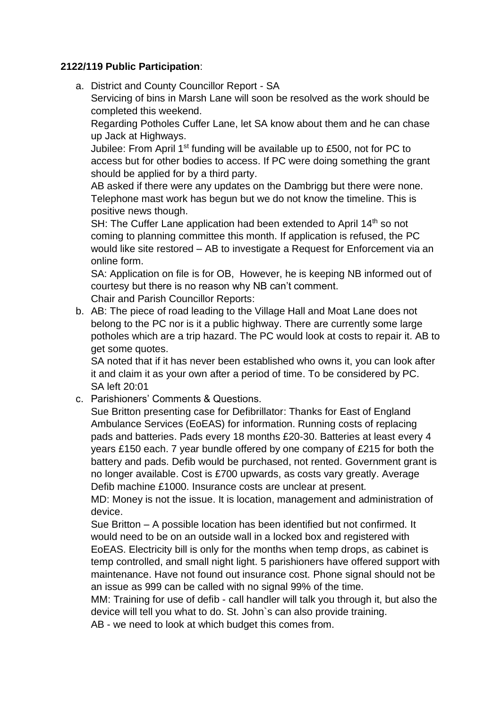### **2122/119 Public Participation**:

a. District and County Councillor Report - SA Servicing of bins in Marsh Lane will soon be resolved as the work should be completed this weekend.

Regarding Potholes Cuffer Lane, let SA know about them and he can chase up Jack at Highways.

Jubilee: From April 1<sup>st</sup> funding will be available up to £500, not for PC to access but for other bodies to access. If PC were doing something the grant should be applied for by a third party.

AB asked if there were any updates on the Dambrigg but there were none. Telephone mast work has begun but we do not know the timeline. This is positive news though.

SH: The Cuffer Lane application had been extended to April 14<sup>th</sup> so not coming to planning committee this month. If application is refused, the PC would like site restored – AB to investigate a Request for Enforcement via an online form.

SA: Application on file is for OB, However, he is keeping NB informed out of courtesy but there is no reason why NB can't comment.

Chair and Parish Councillor Reports:

b. AB: The piece of road leading to the Village Hall and Moat Lane does not belong to the PC nor is it a public highway. There are currently some large potholes which are a trip hazard. The PC would look at costs to repair it. AB to get some quotes.

SA noted that if it has never been established who owns it, you can look after it and claim it as your own after a period of time. To be considered by PC. SA left 20:01

c. Parishioners' Comments & Questions.

Sue Britton presenting case for Defibrillator: Thanks for East of England Ambulance Services (EoEAS) for information. Running costs of replacing pads and batteries. Pads every 18 months £20-30. Batteries at least every 4 years £150 each. 7 year bundle offered by one company of £215 for both the battery and pads. Defib would be purchased, not rented. Government grant is no longer available. Cost is £700 upwards, as costs vary greatly. Average Defib machine £1000. Insurance costs are unclear at present.

MD: Money is not the issue. It is location, management and administration of device.

Sue Britton – A possible location has been identified but not confirmed. It would need to be on an outside wall in a locked box and registered with EoEAS. Electricity bill is only for the months when temp drops, as cabinet is temp controlled, and small night light. 5 parishioners have offered support with maintenance. Have not found out insurance cost. Phone signal should not be an issue as 999 can be called with no signal 99% of the time.

MM: Training for use of defib - call handler will talk you through it, but also the device will tell you what to do. St. John`s can also provide training.

AB - we need to look at which budget this comes from.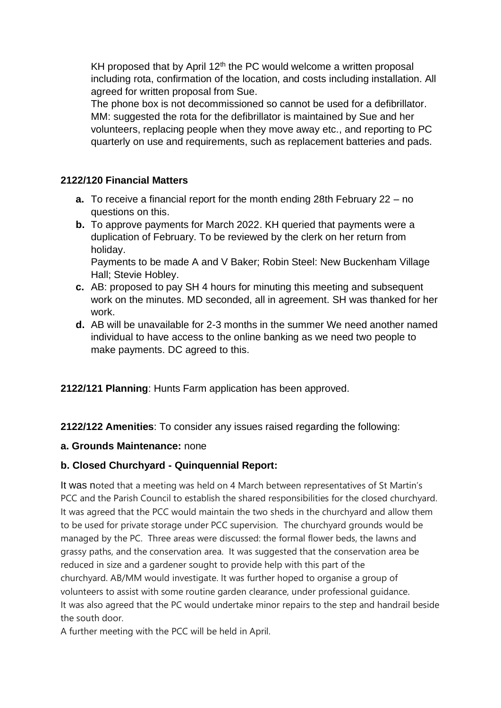KH proposed that by April  $12<sup>th</sup>$  the PC would welcome a written proposal including rota, confirmation of the location, and costs including installation. All agreed for written proposal from Sue.

The phone box is not decommissioned so cannot be used for a defibrillator. MM: suggested the rota for the defibrillator is maintained by Sue and her volunteers, replacing people when they move away etc., and reporting to PC quarterly on use and requirements, such as replacement batteries and pads.

### **2122/120 Financial Matters**

- **a.** To receive a financial report for the month ending 28th February 22 no questions on this.
- **b.** To approve payments for March 2022. KH queried that payments were a duplication of February. To be reviewed by the clerk on her return from holiday.

Payments to be made A and V Baker; Robin Steel: New Buckenham Village Hall; Stevie Hobley.

- **c.** AB: proposed to pay SH 4 hours for minuting this meeting and subsequent work on the minutes. MD seconded, all in agreement. SH was thanked for her work.
- **d.** AB will be unavailable for 2-3 months in the summer We need another named individual to have access to the online banking as we need two people to make payments. DC agreed to this.

**2122/121 Planning**: Hunts Farm application has been approved.

**2122/122 Amenities**: To consider any issues raised regarding the following:

#### **a. Grounds Maintenance:** none

# **b. Closed Churchyard - Quinquennial Report:**

It was noted that a meeting was held on 4 March between representatives of St Martin's PCC and the Parish Council to establish the shared responsibilities for the closed churchyard. It was agreed that the PCC would maintain the two sheds in the churchyard and allow them to be used for private storage under PCC supervision. The churchyard grounds would be managed by the PC. Three areas were discussed: the formal flower beds, the lawns and grassy paths, and the conservation area. It was suggested that the conservation area be reduced in size and a gardener sought to provide help with this part of the churchyard. AB/MM would investigate. It was further hoped to organise a group of volunteers to assist with some routine garden clearance, under professional guidance. It was also agreed that the PC would undertake minor repairs to the step and handrail beside the south door.

A further meeting with the PCC will be held in April.